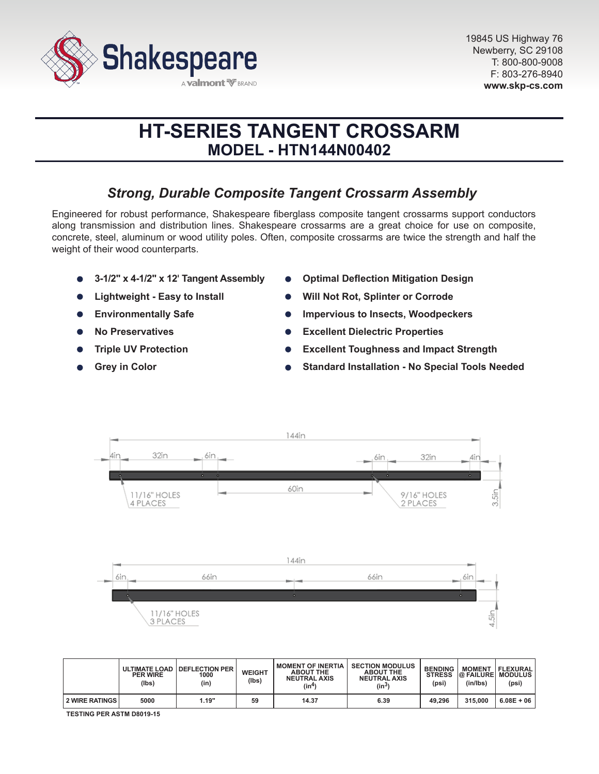

# **HT-SERIES TANGENT CROSSARM MODEL - HTN144N00402**

# *Strong, Durable Composite Tangent Crossarm Assembly*

Engineered for robust performance, Shakespeare fiberglass composite tangent crossarms support conductors along transmission and distribution lines. Shakespeare crossarms are a great choice for use on composite, concrete, steel, aluminum or wood utility poles. Often, composite crossarms are twice the strength and half the weight of their wood counterparts.

- **3-1/2" x 4-1/2" x 12' Tangent Assembly**
- **Lightweight Easy to Install**
- **Environmentally Safe**  $\bullet$
- **No Preservatives**
- **Triple UV Protection**
- **Grey in Color**
- **Optimal Deflection Mitigation Design**
- **Will Not Rot, Splinter or Corrode**
- **Impervious to Insects, Woodpeckers**
- **Excellent Dielectric Properties**  $\bullet$
- **Excellent Toughness and Impact Strength**
- **Standard Installation No Special Tools Needed**



|                       | <b>PER WIRE</b><br>(lbs) | ULTIMATE LOAD   DEFLECTION PER<br>1000<br>(in) | <b>WEIGHT</b><br>(lbs) | <b>MOMENT OF INERTIA</b><br><b>ABOUT THE</b><br><b>NEUTRAL AXIS</b><br>(in4) | <b>SECTION MODULUS</b><br><b>ABOUT THE</b><br><b>NEUTRAL AXIS</b><br>$(in^3)$ | <b>BENDING</b><br><b>STRESS</b><br>(psi) | <b>MOMENT</b><br>(in/lbs) | FLEXURAL <br><b>@ FAILURE MODULUS</b><br>(psi) |
|-----------------------|--------------------------|------------------------------------------------|------------------------|------------------------------------------------------------------------------|-------------------------------------------------------------------------------|------------------------------------------|---------------------------|------------------------------------------------|
| <b>2 WIRE RATINGS</b> | 5000                     | 1.19"                                          | 59                     | 14.37                                                                        | 6.39                                                                          | 49.296                                   | 315,000                   | $6.08E + 06$                                   |

**TESTING PER ASTM D8019-15**